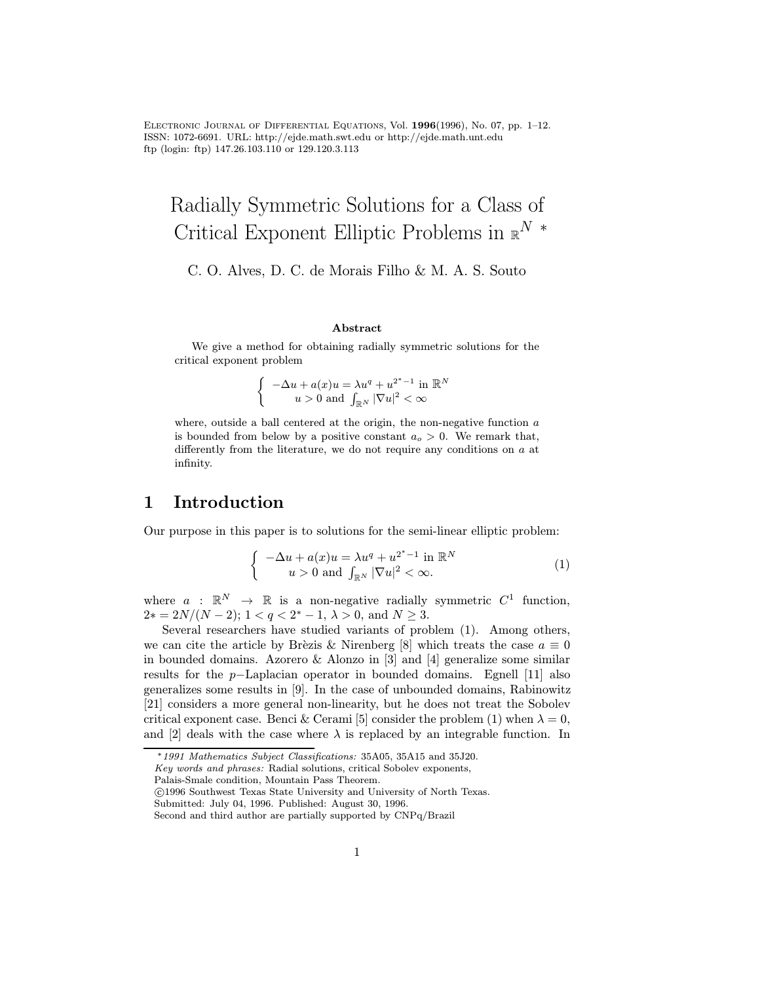Electronic Journal of Differential Equations, Vol. 1996(1996), No. 07, pp. 1–12. ISSN: 1072-6691. URL: http://ejde.math.swt.edu or http://ejde.math.unt.edu ftp (login: ftp) 147.26.103.110 or 129.120.3.113

# Radially Symmetric Solutions for a Class of Critical Exponent Elliptic Problems in  $\mathbb{R}^N$  \*

C. O. Alves, D. C. de Morais Filho & M. A. S. Souto

#### Abstract

We give a method for obtaining radially symmetric solutions for the critical exponent problem

$$
\begin{cases}\n-\Delta u + a(x)u = \lambda u^q + u^{2^*-1} \text{ in } \mathbb{R}^N \\
u > 0 \text{ and } \int_{\mathbb{R}^N} |\nabla u|^2 < \infty\n\end{cases}
$$

where, outside a ball centered at the origin, the non-negative function  $a$ is bounded from below by a positive constant  $a<sub>o</sub> > 0$ . We remark that, differently from the literature, we do not require any conditions on  $a$  at infinity.

### 1 Introduction

Our purpose in this paper is to solutions for the semi-linear elliptic problem:

$$
\begin{cases}\n-\Delta u + a(x)u = \lambda u^q + u^{2^*-1} \text{ in } \mathbb{R}^N \\
u > 0 \text{ and } \int_{\mathbb{R}^N} |\nabla u|^2 < \infty.\n\end{cases}
$$
\n(1)

where  $a : \mathbb{R}^N \to \mathbb{R}$  is a non-negative radially symmetric  $C^1$  function,  $2* = 2N/(N-2); 1 < q < 2^* - 1, \lambda > 0, \text{ and } N \geq 3.$ 

Several researchers have studied variants of problem (1). Among others, we can cite the article by Brèzis & Nirenberg [8] which treats the case  $a \equiv 0$ in bounded domains. Azorero & Alonzo in [3] and [4] generalize some similar results for the p−Laplacian operator in bounded domains. Egnell [11] also generalizes some results in [9]. In the case of unbounded domains, Rabinowitz [21] considers a more general non-linearity, but he does not treat the Sobolev critical exponent case. Benci & Cerami [5] consider the problem (1) when  $\lambda = 0$ , and [2] deals with the case where  $\lambda$  is replaced by an integrable function. In

Key words and phrases: Radial solutions, critical Sobolev exponents,

Palais-Smale condition, Mountain Pass Theorem.

c 1996 Southwest Texas State University and University of North Texas.

Submitted: July 04, 1996. Published: August 30, 1996.

<sup>∗</sup>1991 Mathematics Subject Classifications: 35A05, 35A15 and 35J20.

Second and third author are partially supported by CNPq/Brazil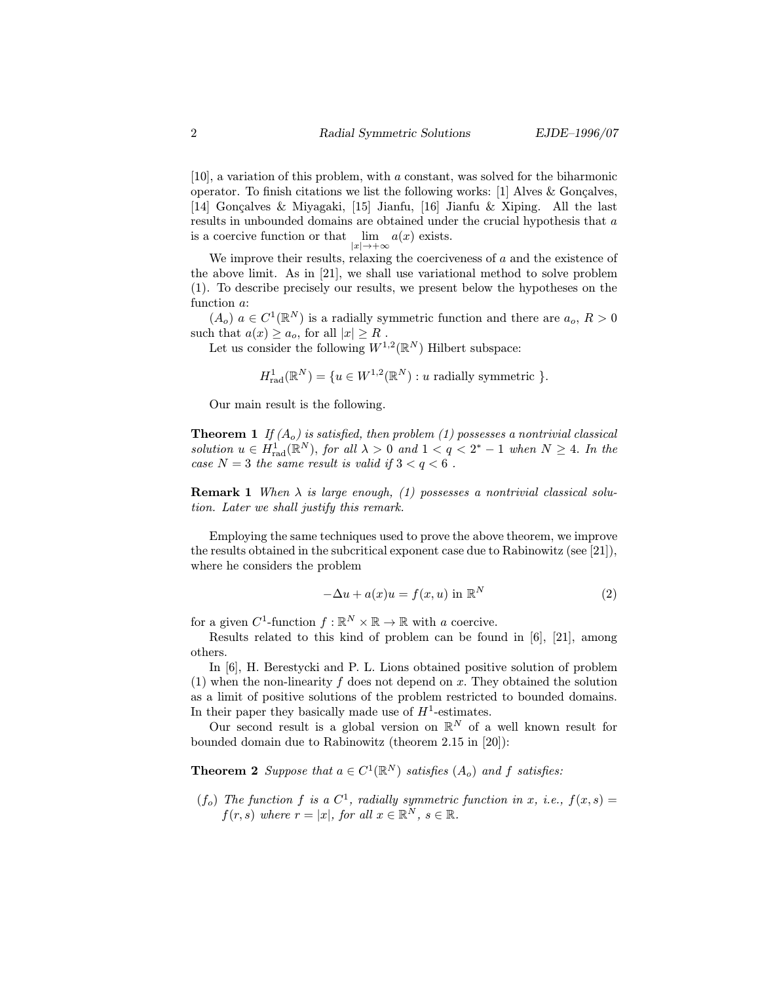[10], a variation of this problem, with a constant, was solved for the biharmonic operator. To finish citations we list the following works: [1] Alves  $&$  Gonçalves, [14] Gonçalves & Miyagaki, [15] Jianfu, [16] Jianfu & Xiping. All the last results in unbounded domains are obtained under the crucial hypothesis that a is a coercive function or that  $\lim_{|x| \to +\infty} a(x)$  exists.

We improve their results, relaxing the coerciveness of  $a$  and the existence of the above limit. As in [21], we shall use variational method to solve problem (1). To describe precisely our results, we present below the hypotheses on the function a:

 $(A_o)$   $a \in C^1(\mathbb{R}^N)$  is a radially symmetric function and there are  $a_o, R>0$ such that  $a(x) \ge a_o$ , for all  $|x| \ge R$ .

Let us consider the following  $W^{1,2}(\mathbb{R}^N)$  Hilbert subspace:

$$
H_{\text{rad}}^1(\mathbb{R}^N) = \{ u \in W^{1,2}(\mathbb{R}^N) : u \text{ radially symmetric } \}.
$$

Our main result is the following.

**Theorem 1** If  $(A_0)$  is satisfied, then problem (1) possesses a nontrivial classical solution  $u \in H_{rad}^1(\mathbb{R}^N)$ , for all  $\lambda > 0$  and  $1 < q < 2^* - 1$  when  $N \geq 4$ . In the case  $N = 3$  the same result is valid if  $3 < q < 6$ .

**Remark 1** When  $\lambda$  is large enough, (1) possesses a nontrivial classical solution. Later we shall justify this remark.

Employing the same techniques used to prove the above theorem, we improve the results obtained in the subcritical exponent case due to Rabinowitz (see [21]), where he considers the problem

$$
-\Delta u + a(x)u = f(x, u) \text{ in } \mathbb{R}^N
$$
 (2)

for a given  $C^1$ -function  $f : \mathbb{R}^N \times \mathbb{R} \to \mathbb{R}$  with a coercive.

Results related to this kind of problem can be found in [6], [21], among others.

In [6], H. Berestycki and P. L. Lions obtained positive solution of problem (1) when the non-linearity  $f$  does not depend on  $x$ . They obtained the solution as a limit of positive solutions of the problem restricted to bounded domains. In their paper they basically made use of  $H^1$ -estimates.

Our second result is a global version on  $\mathbb{R}^N$  of a well known result for bounded domain due to Rabinowitz (theorem 2.15 in [20]):

**Theorem 2** Suppose that  $a \in C^1(\mathbb{R}^N)$  satisfies  $(A_o)$  and f satisfies:

(f<sub>o</sub>) The function f is a  $C^1$ , radially symmetric function in x, i.e.,  $f(x, s) =$  $f(r, s)$  where  $r = |x|$ , for all  $x \in \mathbb{R}^N$ ,  $s \in \mathbb{R}$ .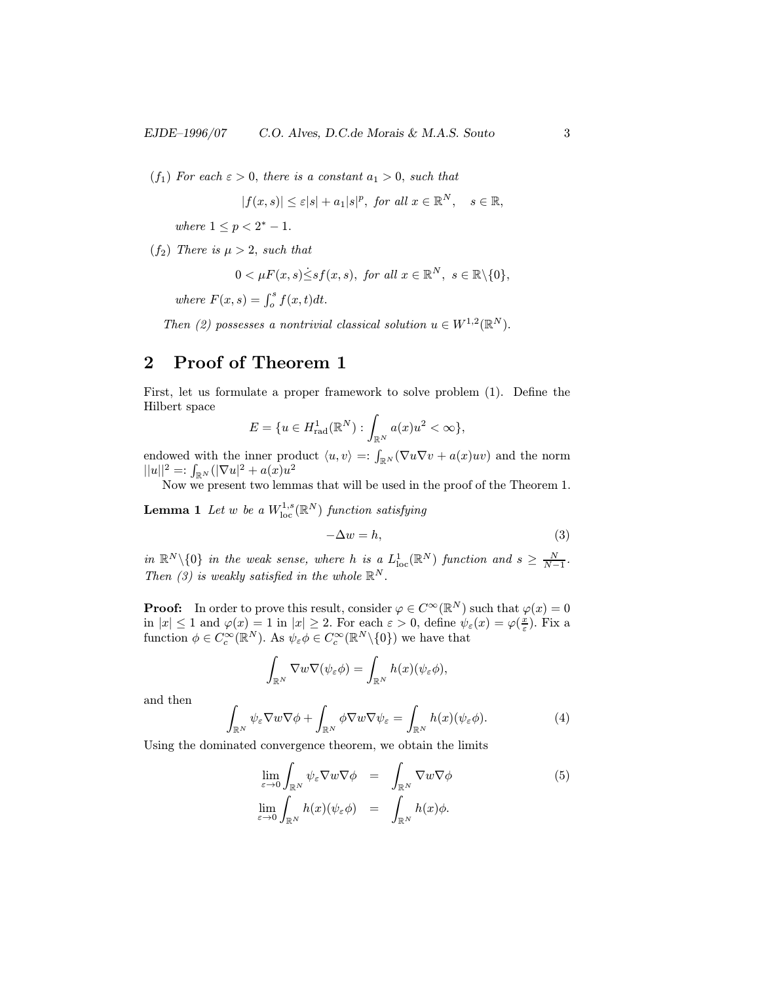(f<sub>1</sub>) For each  $\varepsilon > 0$ , there is a constant  $a_1 > 0$ , such that

$$
|f(x,s)| \leq \varepsilon |s| + a_1 |s|^p, \text{ for all } x \in \mathbb{R}^N, \quad s \in \mathbb{R},
$$

where  $1 \le p < 2^* - 1$ .

 $(f_2)$  There is  $\mu > 2$ , such that

$$
0 < \mu F(x, s) \leq s f(x, s), \text{ for all } x \in \mathbb{R}^N, s \in \mathbb{R} \setminus \{0\},\
$$

where  $F(x, s) = \int_o^s f(x, t) dt$ .

Then (2) possesses a nontrivial classical solution  $u \in W^{1,2}(\mathbb{R}^N)$ .

## 2 Proof of Theorem 1

First, let us formulate a proper framework to solve problem (1). Define the Hilbert space

$$
E = \{ u \in H_{\text{rad}}^1(\mathbb{R}^N) : \int_{\mathbb{R}^N} a(x)u^2 < \infty \},\
$$

endowed with the inner product  $\langle u, v \rangle =: \int_{\mathbb{R}^N} (\nabla u \nabla v + a(x)uv)$  and the norm  $||u||^2 =: \int_{\mathbb{R}^N} (|\nabla u|^2 + a(x)u^2)$ 

Now we present two lemmas that will be used in the proof of the Theorem 1.

**Lemma 1** Let  $w$  be a  $W^{1,s}_{\mathrm{loc}}(\mathbb{R}^N)$  function satisfying

$$
-\Delta w = h,\tag{3}
$$

in  $\mathbb{R}^N \setminus \{0\}$  in the weak sense, where h is a  $L^1_{\text{loc}}(\mathbb{R}^N)$  function and  $s \geq \frac{N}{N-1}$ . Then (3) is weakly satisfied in the whole  $\mathbb{R}^N$ .

**Proof:** In order to prove this result, consider  $\varphi \in C^{\infty}(\mathbb{R}^{N})$  such that  $\varphi(x)=0$ in  $|x| \leq 1$  and  $\varphi(x) = 1$  in  $|x| \geq 2$ . For each  $\varepsilon > 0$ , define  $\psi_{\varepsilon}(x) = \varphi(\frac{x}{\varepsilon})$ . Fix a function  $\phi \in C_c^{\infty}(\mathbb{R}^N)$ . As  $\psi_{\varepsilon} \phi \in C_c^{\infty}(\mathbb{R}^N \setminus \{0\})$  we have that

$$
\int_{\mathbb{R}^N} \nabla w \nabla (\psi_{\varepsilon} \phi) = \int_{\mathbb{R}^N} h(x) (\psi_{\varepsilon} \phi),
$$

and then

$$
\int_{\mathbb{R}^N} \psi_{\varepsilon} \nabla w \nabla \phi + \int_{\mathbb{R}^N} \phi \nabla w \nabla \psi_{\varepsilon} = \int_{\mathbb{R}^N} h(x) (\psi_{\varepsilon} \phi). \tag{4}
$$

Using the dominated convergence theorem, we obtain the limits

$$
\lim_{\varepsilon \to 0} \int_{\mathbb{R}^N} \psi_{\varepsilon} \nabla w \nabla \phi = \int_{\mathbb{R}^N} \nabla w \nabla \phi
$$
\n
$$
\lim_{\varepsilon \to 0} \int_{\mathbb{R}^N} h(x) (\psi_{\varepsilon} \phi) = \int_{\mathbb{R}^N} h(x) \phi.
$$
\n(5)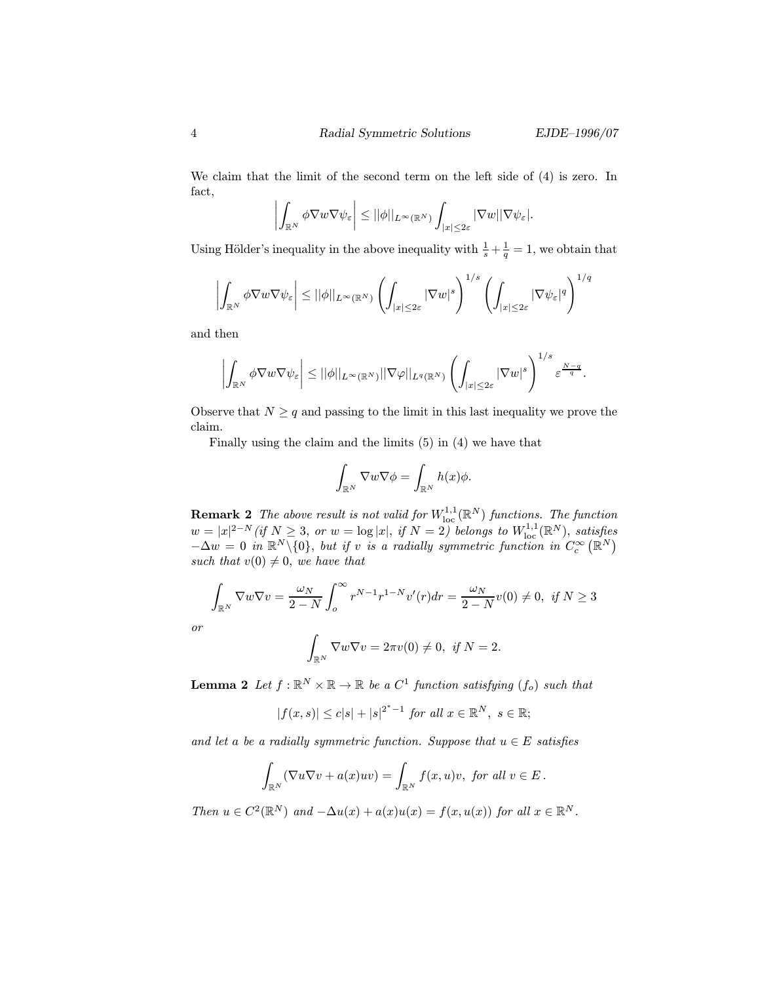We claim that the limit of the second term on the left side of (4) is zero. In fact,

$$
\left|\int_{\mathbb{R}^N}\phi\nabla w\nabla\psi_\varepsilon\right|\leq ||\phi||_{L^\infty(\mathbb{R}^N)}\int_{|x|\leq 2\varepsilon}|\nabla w||\nabla\psi_\varepsilon|.
$$

Using Hölder's inequality in the above inequality with  $\frac{1}{s} + \frac{1}{q} = 1$ , we obtain that

$$
\left| \int_{\mathbb{R}^N} \phi \nabla w \nabla \psi_{\varepsilon} \right| \leq ||\phi||_{L^{\infty}(\mathbb{R}^N)} \left( \int_{|x| \leq 2\varepsilon} |\nabla w|^s \right)^{1/s} \left( \int_{|x| \leq 2\varepsilon} |\nabla \psi_{\varepsilon}|^q \right)^{1/q}
$$

and then

$$
\left|\int_{\mathbb{R}^N}\phi\nabla w\nabla\psi_{\varepsilon}\right|\leq ||\phi||_{L^{\infty}(\mathbb{R}^N)}||\nabla\varphi||_{L^{q}(\mathbb{R}^N)}\left(\int_{|x|\leq2\varepsilon}|\nabla w|^s\right)^{1/s}\varepsilon^{\frac{N-q}{q}}.
$$

Observe that  $N \geq q$  and passing to the limit in this last inequality we prove the claim.

Finally using the claim and the limits (5) in (4) we have that

$$
\int_{\mathbb{R}^N} \nabla w \nabla \phi = \int_{\mathbb{R}^N} h(x) \phi.
$$

**Remark 2** The above result is not valid for  $W^{1,1}_{loc}(\mathbb{R}^N)$  functions. The function  $w=|x|^{2-N}$  (if  $N\geq 3$ , or  $w=\log|x|,$  if  $N=2$ ) belongs to  $W^{1,1}_{\text{loc}}(\mathbb{R}^N)$ , satisfies  $-\Delta w = 0$  in  $\mathbb{R}^N \setminus \{0\}$ , but if v is a radially symmetric function in  $C_c^{\infty}(\mathbb{R}^N)$ such that  $v(0) \neq 0$ , we have that

$$
\int_{\mathbb{R}^N} \nabla w \nabla v = \frac{\omega_N}{2 - N} \int_o^{\infty} r^{N-1} r^{1-N} v'(r) dr = \frac{\omega_N}{2 - N} v(0) \neq 0, \text{ if } N \ge 3
$$

or

$$
\int_{\mathbb{R}^N}\nabla w\nabla v=2\pi v(0)\neq 0, \ \textit{if } N=2.
$$

**Lemma 2** Let  $f : \mathbb{R}^N \times \mathbb{R} \to \mathbb{R}$  be a  $C^1$  function satisfying  $(f_o)$  such that

$$
|f(x,s)| \leq c|s| + |s|^{2^*-1} \text{ for all } x \in \mathbb{R}^N, \ s \in \mathbb{R};
$$

and let a be a radially symmetric function. Suppose that  $u \in E$  satisfies

$$
\int_{\mathbb{R}^N} (\nabla u \nabla v + a(x)uv) = \int_{\mathbb{R}^N} f(x, u)v, \text{ for all } v \in E.
$$

Then  $u \in C^2(\mathbb{R}^N)$  and  $-\Delta u(x) + a(x)u(x) = f(x, u(x))$  for all  $x \in \mathbb{R}^N$ .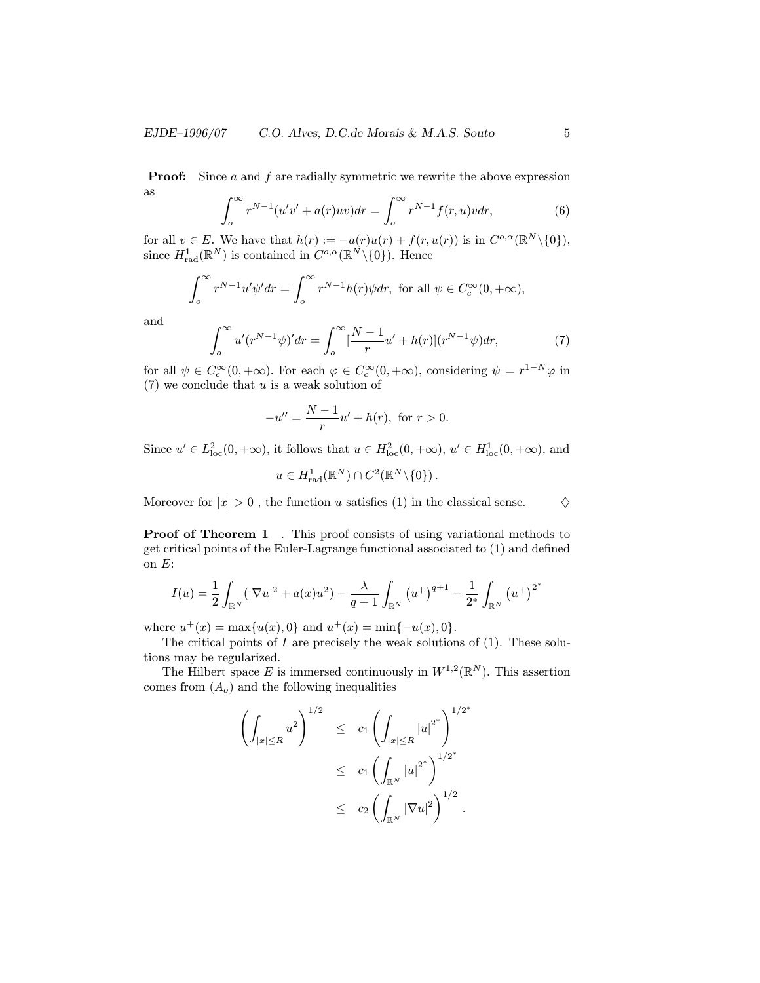**Proof:** Since  $a$  and  $f$  are radially symmetric we rewrite the above expression as

$$
\int_{o}^{\infty} r^{N-1} (u'v' + a(r)uv) dr = \int_{o}^{\infty} r^{N-1} f(r, u)v dr,
$$
 (6)

for all  $v \in E$ . We have that  $h(r) := -a(r)u(r) + f(r, u(r))$  is in  $C^{o,\alpha}(\mathbb{R}^N \setminus \{0\}),$ since  $H_{\text{rad}}^1(\mathbb{R}^N)$  is contained in  $C^{o,\alpha}(\mathbb{R}^N \setminus \{0\})$ . Hence

$$
\int_o^{\infty} r^{N-1} u' \psi' dr = \int_o^{\infty} r^{N-1} h(r) \psi dr, \text{ for all } \psi \in C_c^{\infty}(0, +\infty),
$$

and

$$
\int_{o}^{\infty} u'(r^{N-1}\psi)' dr = \int_{o}^{\infty} \left[\frac{N-1}{r}u' + h(r)\right](r^{N-1}\psi) dr,\tag{7}
$$

for all  $\psi \in C_c^{\infty}(0, +\infty)$ . For each  $\varphi \in C_c^{\infty}(0, +\infty)$ , considering  $\psi = r^{1-N}\varphi$  in  $(7)$  we conclude that u is a weak solution of

$$
-u'' = \frac{N-1}{r}u' + h(r), \text{ for } r > 0.
$$

Since  $u' \in L^2_{loc}(0, +\infty)$ , it follows that  $u \in H^2_{loc}(0, +\infty)$ ,  $u' \in H^1_{loc}(0, +\infty)$ , and

$$
u \in H^1_{\text{rad}}(\mathbb{R}^N) \cap C^2(\mathbb{R}^N \backslash \{0\})\,.
$$

Moreover for  $|x| > 0$ , the function u satisfies (1) in the classical sense.  $\Diamond$ 

**Proof of Theorem 1** . This proof consists of using variational methods to get critical points of the Euler-Lagrange functional associated to (1) and defined on E:

$$
I(u) = \frac{1}{2} \int_{\mathbb{R}^N} (|\nabla u|^2 + a(x)u^2) - \frac{\lambda}{q+1} \int_{\mathbb{R}^N} (u^+)^{q+1} - \frac{1}{2^*} \int_{\mathbb{R}^N} (u^+)^{2^*}
$$

where  $u^+(x) = \max\{u(x), 0\}$  and  $u^+(x) = \min\{-u(x), 0\}.$ 

The critical points of  $I$  are precisely the weak solutions of  $(1)$ . These solutions may be regularized.

The Hilbert space E is immersed continuously in  $W^{1,2}(\mathbb{R}^N)$ . This assertion comes from  $(A<sub>o</sub>)$  and the following inequalities

$$
\left(\int_{|x|\leq R} u^2\right)^{1/2} \leq c_1 \left(\int_{|x|\leq R} |u|^{2^*}\right)^{1/2^*} \n\leq c_1 \left(\int_{\mathbb{R}^N} |u|^{2^*}\right)^{1/2^*} \n\leq c_2 \left(\int_{\mathbb{R}^N} |\nabla u|^2\right)^{1/2}.
$$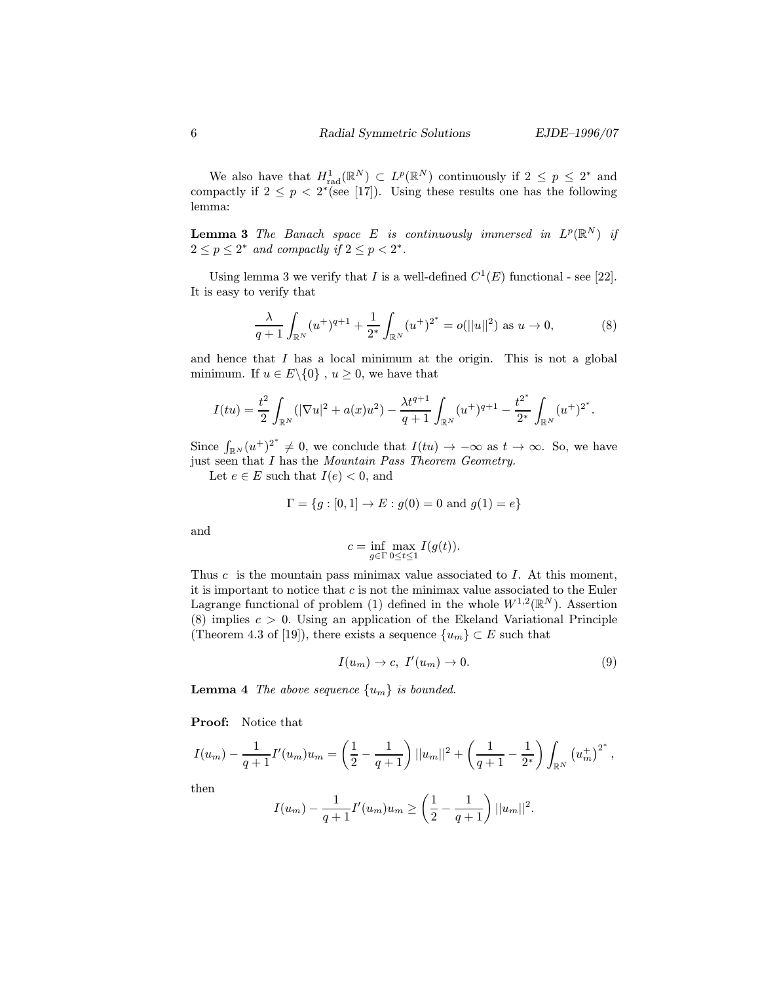We also have that  $H_{rad}^1(\mathbb{R}^N) \subset L^p(\mathbb{R}^N)$  continuously if  $2 \leq p \leq 2^*$  and compactly if  $2 \le p \le 2^*$  (see [17]). Using these results one has the following lemma:

**Lemma 3** The Banach space E is continuously immersed in  $L^p(\mathbb{R}^N)$  if  $2 \le p \le 2^*$  and compactly if  $2 \le p < 2^*$ .

Using lemma 3 we verify that I is a well-defined  $C^1(E)$  functional - see [22]. It is easy to verify that

$$
\frac{\lambda}{q+1} \int_{\mathbb{R}^N} (u^+)^{q+1} + \frac{1}{2^*} \int_{\mathbb{R}^N} (u^+)^{2^*} = o(||u||^2) \text{ as } u \to 0,
$$
 (8)

and hence that  $I$  has a local minimum at the origin. This is not a global minimum. If  $u \in E \setminus \{0\}$ ,  $u \geq 0$ , we have that

$$
I(tu) = \frac{t^2}{2} \int_{\mathbb{R}^N} (|\nabla u|^2 + a(x)u^2) - \frac{\lambda t^{q+1}}{q+1} \int_{\mathbb{R}^N} (u^+)^{q+1} - \frac{t^{2^*}}{2^*} \int_{\mathbb{R}^N} (u^+)^{2^*}.
$$

Since  $\int_{\mathbb{R}^N}(u^+)^{2^*}\neq 0$ , we conclude that  $I(tu)\to -\infty$  as  $t\to\infty$ . So, we have just seen that I has the Mountain Pass Theorem Geometry.

Let  $e \in E$  such that  $I(e) < 0$ , and

$$
\Gamma = \{ g : [0, 1] \to E : g(0) = 0 \text{ and } g(1) = e \}
$$

and

$$
c = \inf_{g \in \Gamma} \max_{0 \le t \le 1} I(g(t)).
$$

Thus c is the mountain pass minimax value associated to  $I$ . At this moment, it is important to notice that  $c$  is not the minimax value associated to the Euler Lagrange functional of problem (1) defined in the whole  $W^{1,2}(\mathbb{R}^N)$ . Assertion (8) implies  $c > 0$ . Using an application of the Ekeland Variational Principle (Theorem 4.3 of [19]), there exists a sequence  $\{u_m\} \subset E$  such that

$$
I(u_m) \to c, I'(u_m) \to 0.
$$
\n(9)

**Lemma 4** The above sequence  $\{u_m\}$  is bounded.

Proof: Notice that

$$
I(u_m) - \frac{1}{q+1}I'(u_m)u_m = \left(\frac{1}{2} - \frac{1}{q+1}\right)||u_m||^2 + \left(\frac{1}{q+1} - \frac{1}{2^*}\right)\int_{\mathbb{R}^N} (u_m^+)^{2^*},
$$

then

$$
I(u_m) - \frac{1}{q+1}I'(u_m)u_m \ge \left(\frac{1}{2} - \frac{1}{q+1}\right)||u_m||^2.
$$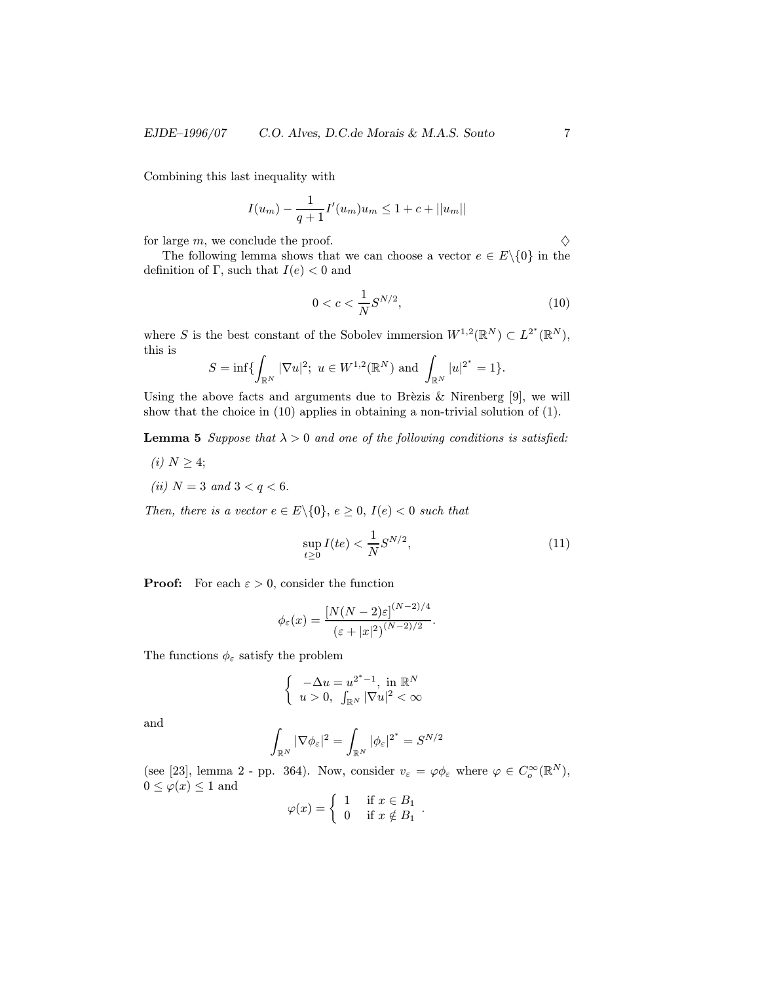#### EJDE–1996/07 C.O. Alves, D.C.de Morais & M.A.S. Souto 7

Combining this last inequality with

$$
I(u_m) - \frac{1}{q+1}I'(u_m)u_m \leq 1 + c + ||u_m||
$$

for large m, we conclude the proof.  $\diamondsuit$ 

The following lemma shows that we can choose a vector  $e \in E \setminus \{0\}$  in the definition of Γ, such that  $I(e) < 0$  and

$$
0 < c < \frac{1}{N} S^{N/2},\tag{10}
$$

where S is the best constant of the Sobolev immersion  $W^{1,2}(\mathbb{R}^N) \subset L^{2^*}(\mathbb{R}^N)$ , this is

$$
S=\inf\{\int_{\mathbb{R}^N}|\nabla u|^2;\ u\in W^{1,2}(\mathbb{R}^N)\ \text{and}\ \int_{\mathbb{R}^N}|u|^{2^*}=1\}.
$$

Using the above facts and arguments due to Brèzis  $\&$  Nirenberg [9], we will show that the choice in (10) applies in obtaining a non-trivial solution of (1).

**Lemma 5** Suppose that  $\lambda > 0$  and one of the following conditions is satisfied:

(i)  $N \geq 4$ ; (*ii*)  $N = 3$  and  $3 < q < 6$ .

Then, there is a vector  $e \in E \setminus \{0\}$ ,  $e \ge 0$ ,  $I(e) < 0$  such that

$$
\sup_{t \ge 0} I(te) < \frac{1}{N} S^{N/2},\tag{11}
$$

**Proof:** For each  $\varepsilon > 0$ , consider the function

$$
\phi_{\varepsilon}(x) = \frac{[N(N-2)\varepsilon]^{(N-2)/4}}{(\varepsilon + |x|^2)^{(N-2)/2}}.
$$

The functions  $\phi_{\varepsilon}$  satisfy the problem

$$
\left\{\begin{array}{l} -\Delta u=u^{2^*-1}, \text{ in } \mathbb{R}^N\\ u>0, \ \int_{\mathbb{R}^N}|\nabla u|^2<\infty \end{array}\right.
$$

and

$$
\int_{\mathbb{R}^N} |\nabla \phi_\varepsilon|^2 = \int_{\mathbb{R}^N} |\phi_\varepsilon|^{2^*} = S^{N/2}
$$

(see [23], lemma 2 - pp. 364). Now, consider  $v_{\varepsilon} = \varphi \phi_{\varepsilon}$  where  $\varphi \in C_o^{\infty}(\mathbb{R}^N)$ ,  $0 \leq \varphi(x) \leq 1$  and

$$
\varphi(x) = \begin{cases} 1 & \text{if } x \in B_1 \\ 0 & \text{if } x \notin B_1 \end{cases}.
$$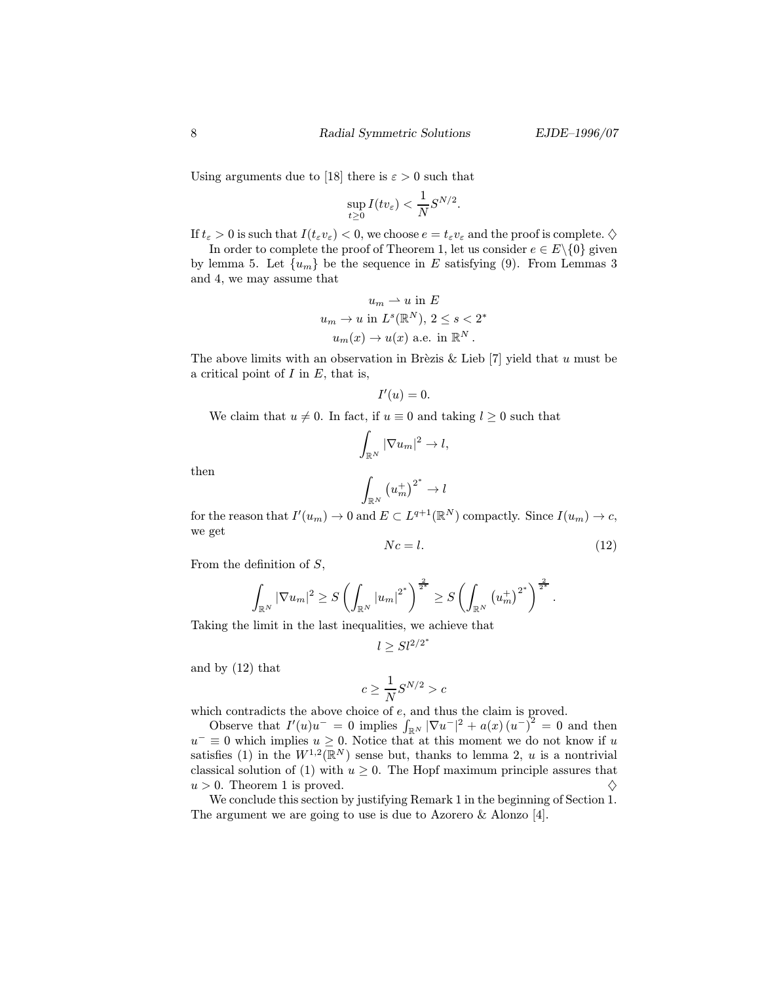Using arguments due to [18] there is  $\varepsilon > 0$  such that

$$
\sup_{t\geq 0} I(tv_{\varepsilon}) < \frac{1}{N} S^{N/2}.
$$

If  $t_{\varepsilon} > 0$  is such that  $I(t_{\varepsilon}v_{\varepsilon}) < 0$ , we choose  $e = t_{\varepsilon}v_{\varepsilon}$  and the proof is complete.  $\diamondsuit$ 

In order to complete the proof of Theorem 1, let us consider  $e \in E \setminus \{0\}$  given by lemma 5. Let  $\{u_m\}$  be the sequence in E satisfying (9). From Lemmas 3 and 4, we may assume that

$$
u_m \rightharpoonup u \text{ in } E
$$
  

$$
u_m \rightharpoonup u \text{ in } L^s(\mathbb{R}^N), 2 \le s < 2^*
$$
  

$$
u_m(x) \rightharpoonup u(x) \text{ a.e. in } \mathbb{R}^N.
$$

The above limits with an observation in Brèzis & Lieb [7] yield that u must be a critical point of  $I$  in  $E$ , that is,

$$
I'(u)=0.
$$

We claim that  $u \neq 0$ . In fact, if  $u \equiv 0$  and taking  $l \geq 0$  such that

$$
\int_{\mathbb{R}^N} |\nabla u_m|^2 \to l,
$$

then

$$
\int_{\mathbb{R}^N}\left(u_m^+\right)^{2^*}\to l
$$

for the reason that  $I'(u_m) \to 0$  and  $E \subset L^{q+1}(\mathbb{R}^N)$  compactly. Since  $I(u_m) \to c$ , we get

$$
Nc = l.\t\t(12)
$$

From the definition of  $S$ ,

$$
\int_{\mathbb{R}^N} |\nabla u_m|^2 \ge S \left( \int_{\mathbb{R}^N} |u_m|^{2^*} \right)^{\frac{2}{2^*}} \ge S \left( \int_{\mathbb{R}^N} \left( u_m^+ \right)^{2^*} \right)^{\frac{2}{2^*}}.
$$

Taking the limit in the last inequalities, we achieve that

$$
l \geq Sl^{2/2^*}
$$

and by (12) that

$$
c\geq \frac{1}{N}S^{N/2}>c
$$

which contradicts the above choice of e, and thus the claim is proved.

Observe that  $I'(u)u^- = 0$  implies  $\int_{\mathbb{R}^N} |\nabla u^-|^2 + a(x)(u^-)^2 = 0$  and then  $u^- \equiv 0$  which implies  $u \geq 0$ . Notice that at this moment we do not know if u satisfies (1) in the  $W^{1,2}(\mathbb{R}^N)$  sense but, thanks to lemma 2, u is a nontrivial classical solution of (1) with  $u \geq 0$ . The Hopf maximum principle assures that  $u > 0$ . Theorem 1 is proved.

We conclude this section by justifying Remark 1 in the beginning of Section 1. The argument we are going to use is due to Azorero & Alonzo [4].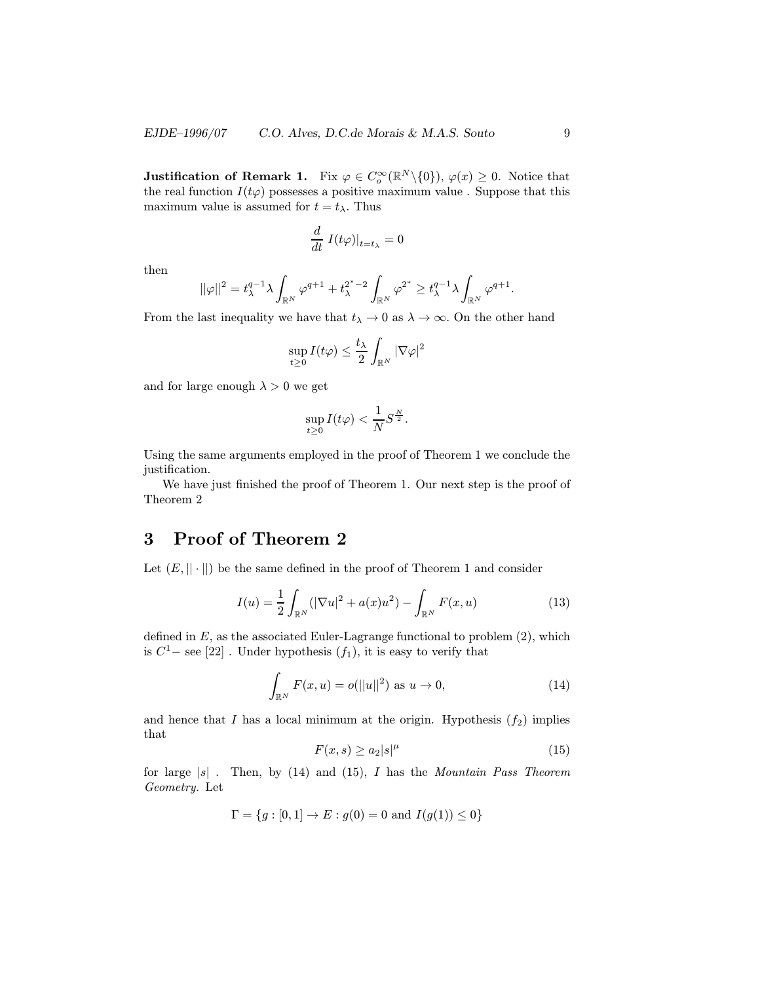**Justification of Remark 1.** Fix  $\varphi \in C_o^{\infty}(\mathbb{R}^N \setminus \{0\}), \varphi(x) \geq 0$ . Notice that the real function  $I(t\varphi)$  possesses a positive maximum value. Suppose that this maximum value is assumed for  $t = t_{\lambda}$ . Thus

$$
\frac{d}{dt} I(t\varphi)|_{t=t_{\lambda}} = 0
$$

then

$$
||\varphi||^2=t_\lambda^{q-1}\lambda\int_{\mathbb R^N}\varphi^{q+1}+t_\lambda^{2^*-2}\int_{\mathbb R^N}\varphi^{2^*}\geq t_\lambda^{q-1}\lambda\int_{\mathbb R^N}\varphi^{q+1}.
$$

From the last inequality we have that  $t_{\lambda} \to 0$  as  $\lambda \to \infty$ . On the other hand

$$
\sup_{t\geq 0} I(t\varphi) \leq \frac{t_{\lambda}}{2} \int_{\mathbb{R}^N} |\nabla \varphi|^2
$$

and for large enough  $\lambda > 0$  we get

$$
\sup_{t\geq 0} I(t\varphi) < \frac{1}{N} S^{\frac{N}{2}}.
$$

Using the same arguments employed in the proof of Theorem 1 we conclude the justification.

We have just finished the proof of Theorem 1. Our next step is the proof of Theorem 2

### 3 Proof of Theorem 2

Let  $(E, || \cdot ||)$  be the same defined in the proof of Theorem 1 and consider

$$
I(u) = \frac{1}{2} \int_{\mathbb{R}^N} (|\nabla u|^2 + a(x)u^2) - \int_{\mathbb{R}^N} F(x, u)
$$
 (13)

defined in  $E$ , as the associated Euler-Lagrange functional to problem  $(2)$ , which is  $C<sup>1</sup>$  – see [22]. Under hypothesis  $(f_1)$ , it is easy to verify that

$$
\int_{\mathbb{R}^N} F(x, u) = o(||u||^2) \text{ as } u \to 0,
$$
\n(14)

and hence that I has a local minimum at the origin. Hypothesis  $(f_2)$  implies that

$$
F(x,s) \ge a_2|s|^\mu \tag{15}
$$

for large  $|s|$ . Then, by (14) and (15), I has the Mountain Pass Theorem Geometry. Let

$$
\Gamma = \{g : [0, 1] \to E : g(0) = 0 \text{ and } I(g(1)) \le 0\}
$$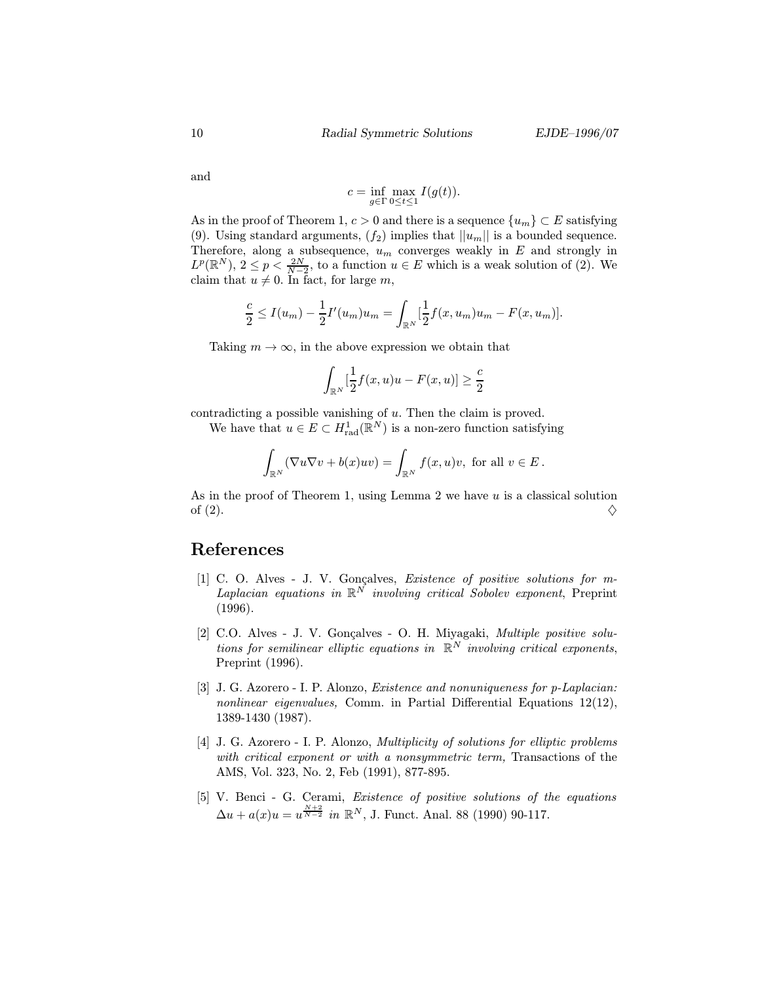and

$$
c = \inf_{g \in \Gamma} \max_{0 \le t \le 1} I(g(t)).
$$

As in the proof of Theorem 1,  $c > 0$  and there is a sequence  $\{u_m\} \subset E$  satisfying (9). Using standard arguments,  $(f_2)$  implies that  $||u_m||$  is a bounded sequence. Therefore, along a subsequence,  $u_m$  converges weakly in E and strongly in  $L^p(\mathbb{R}^N), 2 \leq p < \frac{2N}{N-2}$ , to a function  $u \in E$  which is a weak solution of (2). We claim that  $u \neq 0$ . In fact, for large m,

$$
\frac{c}{2} \le I(u_m) - \frac{1}{2}I'(u_m)u_m = \int_{\mathbb{R}^N} \left[\frac{1}{2}f(x, u_m)u_m - F(x, u_m)\right].
$$

Taking  $m \to \infty$ , in the above expression we obtain that

$$
\int_{\mathbb{R}^N}[\frac{1}{2}f(x,u)u - F(x,u)] \geq \frac{c}{2}
$$

contradicting a possible vanishing of u. Then the claim is proved.

We have that  $u \in E \subset H^1_{rad}(\mathbb{R}^N)$  is a non-zero function satisfying

$$
\int_{\mathbb{R}^N} (\nabla u \nabla v + b(x)uv) = \int_{\mathbb{R}^N} f(x, u)v, \text{ for all } v \in E.
$$

As in the proof of Theorem 1, using Lemma 2 we have  $u$  is a classical solution of (2).  $\diamondsuit$ 

#### References

- [1] C. O. Alves J. V. Gonçalves, *Existence of positive solutions for m*-Laplacian equations in  $\mathbb{R}^N$  involving critical Sobolev exponent, Preprint (1996).
- [2] C.O. Alves J. V. Gonçalves O. H. Miyagaki, Multiple positive solutions for semilinear elliptic equations in  $\mathbb{R}^N$  involving critical exponents, Preprint (1996).
- [3] J. G. Azorero I. P. Alonzo, *Existence and nonuniqueness for p-Laplacian:* nonlinear eigenvalues, Comm. in Partial Differential Equations 12(12), 1389-1430 (1987).
- [4] J. G. Azorero I. P. Alonzo, *Multiplicity of solutions for elliptic problems* with critical exponent or with a nonsymmetric term, Transactions of the AMS, Vol. 323, No. 2, Feb (1991), 877-895.
- [5] V. Benci G. Cerami, Existence of positive solutions of the equations  $\Delta u + a(x)u = u^{\frac{N+2}{N-2}}$  in  $\mathbb{R}^N$ , J. Funct. Anal. 88 (1990) 90-117.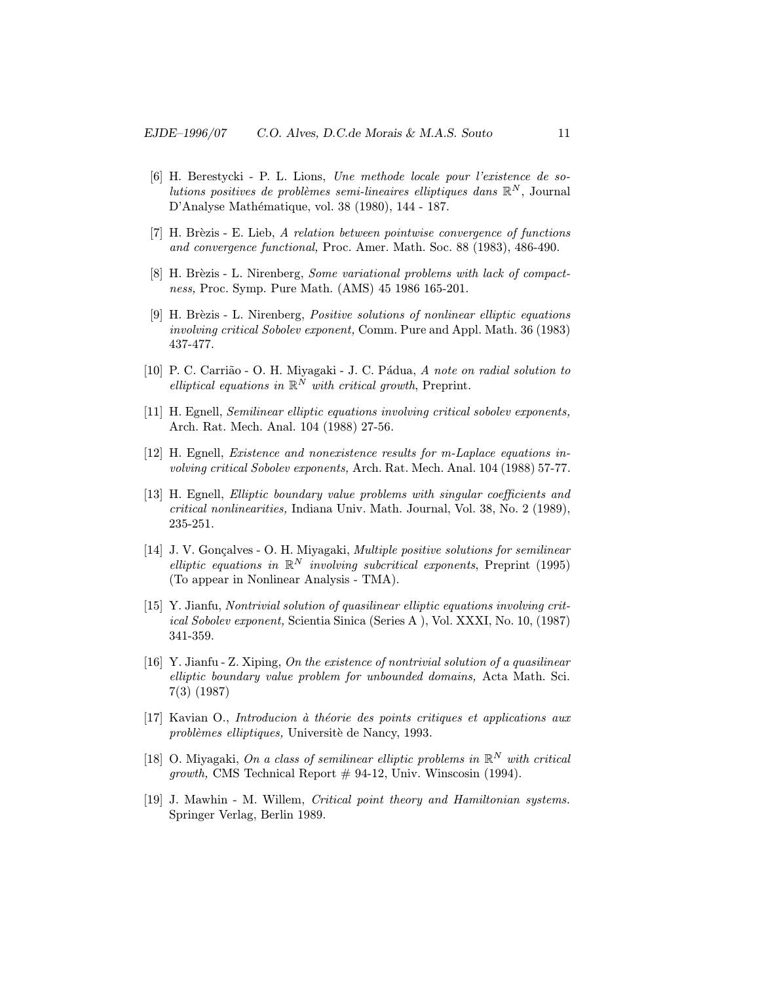- [6] H. Berestycki P. L. Lions, Une methode locale pour l'existence de solutions positives de problèmes semi-lineaires elliptiques dans  $\mathbb{R}^N$ , Journal D'Analyse Mathématique, vol. 38 (1980), 144 - 187.
- $[7]$  H. Brèzis E. Lieb, A relation between pointwise convergence of functions and convergence functional, Proc. Amer. Math. Soc. 88 (1983), 486-490.
- [8] H. Brèzis L. Nirenberg, Some variational problems with lack of compactness, Proc. Symp. Pure Math. (AMS) 45 1986 165-201.
- [9] H. Brèzis L. Nirenberg, *Positive solutions of nonlinear elliptic equations* involving critical Sobolev exponent, Comm. Pure and Appl. Math. 36 (1983) 437-477.
- [10] P. C. Carrião O. H. Miyagaki J. C. Pádua, A note on radial solution to elliptical equations in  $\mathbb{R}^N$  with critical growth, Preprint.
- [11] H. Egnell, Semilinear elliptic equations involving critical sobolev exponents, Arch. Rat. Mech. Anal. 104 (1988) 27-56.
- [12] H. Egnell, Existence and nonexistence results for m-Laplace equations involving critical Sobolev exponents, Arch. Rat. Mech. Anal. 104 (1988) 57-77.
- [13] H. Egnell, Elliptic boundary value problems with singular coefficients and critical nonlinearities, Indiana Univ. Math. Journal, Vol. 38, No. 2 (1989), 235-251.
- [14] J. V. Gonçalves O. H. Miyagaki, *Multiple positive solutions for semilinear* elliptic equations in  $\mathbb{R}^N$  involving subcritical exponents, Preprint (1995) (To appear in Nonlinear Analysis - TMA).
- [15] Y. Jianfu, Nontrivial solution of quasilinear elliptic equations involving critical Sobolev exponent, Scientia Sinica (Series A ), Vol. XXXI, No. 10, (1987) 341-359.
- [16] Y. Jianfu Z. Xiping, On the existence of nontrivial solution of a quasilinear elliptic boundary value problem for unbounded domains, Acta Math. Sci. 7(3) (1987)
- [17] Kavian O., *Introducion* à théorie des points critiques et applications aux problèmes elliptiques, Universitè de Nancy, 1993.
- [18] O. Miyagaki, On a class of semilinear elliptic problems in  $\mathbb{R}^N$  with critical growth, CMS Technical Report  $# 94-12$ , Univ. Winscosin (1994).
- [19] J. Mawhin M. Willem, Critical point theory and Hamiltonian systems. Springer Verlag, Berlin 1989.